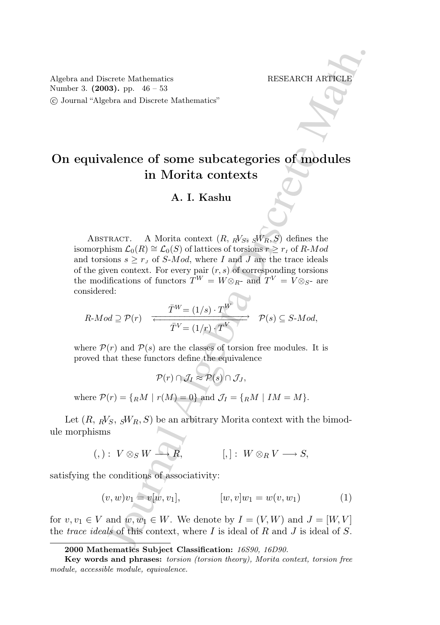Algebra and Discrete Mathematics RESEARCH ARTICLE Number 3. (2003). pp. 46 – 53 °c Journal "Algebra and Discrete Mathematics"

# On equivalence of some subcategories of modules in Morita contexts

## A. I. Kashu

sterie Mathematics<br>
Bereich Mathematics<br>
Herstex and Discrete Mathematics<br>
alence of some subcategories of modules<br>
in Morita contexts<br>
A. I. Kashu<br>
Fract: A Morita contexts<br>
A. I. Kashu<br>
from  $L_0(R) \cong L_0(S)$  of lattices ABSTRACT. A Morita context  $(R, RV_S, SW_R, S)$  defines the isomorphism  $\mathcal{L}_0(R) \cong \mathcal{L}_0(S)$  of lattices of torsions  $r \geq r_I$  of R-Mod and torsions  $s \geq r_J$  of S-Mod, where I and J are the trace ideals of the given context. For every pair  $(r, s)$  of corresponding torsions the modifications of functors  $T^W = W \otimes_{R^-}$  and  $T^V = V \otimes_{S^-}$  are considered:

$$
R\text{-}Mod \supseteq \mathcal{P}(r) \xrightarrow{\overline{T}^W = (1/s) \cdot T^W} \mathcal{P}(s) \subseteq S\text{-}Mod,
$$

where  $\mathcal{P}(r)$  and  $\mathcal{P}(s)$  are the classes of torsion free modules. It is proved that these functors define the equivalence

$$
\mathcal{P}(r) \cap \mathcal{J}_I \approx \mathcal{P}(s) \cap \mathcal{J}_J,
$$

where  $P(r) = \{RM \mid r(M) = 0\}$  and  $\mathcal{J}_I = \{RM \mid IM = M\}$ .

Let  $(R, \, k\prime_S, \, sW_R, S)$  be an arbitrary Morita context with the bimodule morphisms

$$
(,): V \otimes_S W \longrightarrow R, \qquad [,]: W \otimes_R V \longrightarrow S,
$$

satisfying the conditions of associativity:

$$
(v, w)v_1 = v[w, v_1], \qquad [w, v]w_1 = w(v, w_1) \qquad (1)
$$

for  $v, v_1 \in V$  and  $w, w_1 \in W$ . We denote by  $I = (V, W)$  and  $J = [W, V]$ the *trace ideals* of this context, where  $I$  is ideal of  $R$  and  $J$  is ideal of  $S$ .

<sup>2000</sup> Mathematics Subject Classification: 16S90, 16D90.

Key words and phrases: torsion (torsion theory), Morita context, torsion free module, accessible module, equivalence.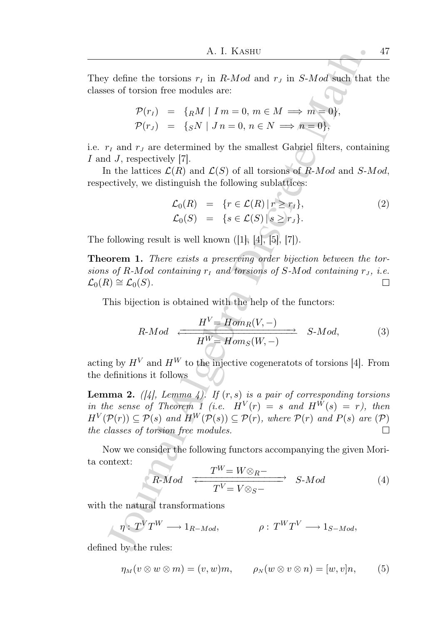They define the torsions  $r_I$  in R-Mod and  $r_J$  in S-Mod such that the classes of torsion free modules are:

$$
\mathcal{P}(r_I) = \{{}_R M \mid Im = 0, m \in M \implies m = 0 \},
$$
  

$$
\mathcal{P}(r_J) = \{{}_S N \mid J n = 0, n \in N \implies n = 0 \},
$$

i.e.  $r_I$  and  $r_J$  are determined by the smallest Gabriel filters, containing I and J, respectively [7].

In the lattices  $\mathcal{L}(R)$  and  $\mathcal{L}(S)$  of all torsions of  $\overline{R}\text{-}Mod$  and  $S\text{-}Mod$ , respectively, we distinguish the following sublattices:

$$
\mathcal{L}_0(R) = \{r \in \mathcal{L}(R) | r \ge r_j\},
$$
  
\n
$$
\mathcal{L}_0(S) = \{s \in \mathcal{L}(S) | s \ge r_J\}.
$$
\n(2)

The following result is well known  $([1], [4], [5], [7])$ .

Theorem 1. There exists a preserving order bijection between the torsions of R-Mod containing  $r<sub>I</sub>$  and torsions of S-Mod containing  $r<sub>J</sub>$ , i.e.  $\mathcal{L}_0(R) \cong \mathcal{L}_0(S)$ .  $\Box$ 

This bijection is obtained with the help of the functors:

$$
R\text{-}Mod \xrightarrow{H^V = Hom_R(V, -)} S\text{-}Mod,
$$
 (3)

acting by  $H^V$  and  $H^W$  to the injective cogeneratots of torsions [4]. From the definitions it follows

A. I. KASHU<br>
A. I. KASHU<br>
define the torsions  $r_r$  in  $R-Mod$  and  $r_s$  in  $S-Mod$  such that<br>
se of torsion free modules are:<br>  $\mathcal{P}(r_r) = \{nM \mid Im = 0, n \in N \implies m \equiv 0\}$ ,<br>  $\mathcal{P}(r_s) = \{gN \mid Ja = 0, n \in N \implies m \equiv 0\}$ ,<br>  $r_r$  and  $r_s$  are d **Lemma 2.** ([4], Lemma 4]. If  $(r, s)$  is a pair of corresponding torsions in the sense of Theorem 1 (i.e.  $H^V(r) = s$  and  $H^W(s) = r$ ), then  $H^V(\mathcal{P}(r)) \subseteq \mathcal{P}(s)$  and  $H^W(\mathcal{P}(s)) \subseteq \mathcal{P}(r)$ , where  $\mathcal{P}(r)$  and  $P(s)$  are  $(\mathcal{P})$ the classes of torsion free modules.  $\Box$ 

Now we consider the following functors accompanying the given Morita context:

$$
R\text{-}Mod \xrightarrow{T^W = W \otimes_R -} S\text{-}Mod \qquad (4)
$$

with the natural transformations

$$
\eta: T^V T^W \longrightarrow 1_{R-Mod}, \qquad \rho: T^W T^V \longrightarrow 1_{S-Mod},
$$

defined by the rules:

$$
\eta_M(v \otimes w \otimes m) = (v, w)m, \qquad \rho_N(w \otimes v \otimes n) = [w, v]n, \qquad (5)
$$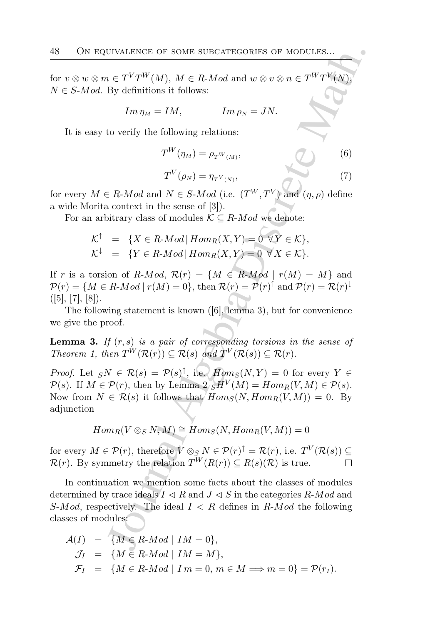for  $v \otimes w \otimes m \in T^V T^W(M)$ ,  $M \in R$ -*Mod* and  $w \otimes v \otimes n \in T^W T^V(N)$ ,  $N \in S$ -*Mod.* By definitions it follows:

$$
Im\,\eta_M = IM, \qquad Im\,\rho_N = JN.
$$

It is easy to verify the following relations:

$$
T^{W}(\eta_{M}) = \rho_{T^{W}(M)},
$$
\n(6)\n
$$
T^{V}(\rho_{N}) = \eta_{T^{V}(N)},
$$
\n(7)

for every  $M \in R$ -Mod and  $N \in S$ -Mod (i.e.  $(T^W, T^V)$ ) and  $(\eta, \rho)$  define a wide Morita context in the sense of [3]).

For an arbitrary class of modules  $\mathcal{K} \subseteq R$ -Mod we denote:

$$
\mathcal{K}^{\uparrow} = \{ X \in R\text{-}Mod \mid Hom_R(X, Y) = 0 \ \forall Y \in \mathcal{K} \},
$$
  

$$
\mathcal{K}^{\downarrow} = \{ Y \in R\text{-}Mod \mid Hom_R(X, Y) = 0 \ \forall X \in \mathcal{K} \}.
$$

If r is a torsion of R-Mod,  $\mathcal{R}(r) = \{M \in R \text{-}Mod \mid r(M) = M\}$  and  $\mathcal{P}(r) = \{ M \in R \text{-}Mod \mid r(M) = 0 \}, \text{ then } \mathcal{R}(r) = \mathcal{P}(r)^{\uparrow} \text{ and } \mathcal{P}(r) = \mathcal{R}(r)^{\downarrow}$  $([5], [7], [8]).$ 

The following statement is known ([6], lemma 3), but for convenience we give the proof.

**Lemma 3.** If  $(r, s)$  is a pair of corresponding torsions in the sense of Theorem 1, then  $T^{\hat{W}}(\mathcal{R}(r)) \subseteq \mathcal{R}(s)$  and  $T^{\hat{V}}(\mathcal{R}(s)) \subseteq \mathcal{R}(r)$ .

*Proof.* Let  $sN \in \mathcal{R}(s) = \mathcal{P}(s)^{\uparrow}$ , i.e.  $Hom_S(N, Y) = 0$  for every  $Y \in$  $\mathcal{P}(s)$ . If  $M \in \mathcal{P}(r)$ , then by Lemma  $2 \, sH^V(M) = Hom_R(V, M) \in \mathcal{P}(s)$ . Now from  $N \in \mathcal{R}(s)$  it follows that  $Hom_S(N, Hom_R(V, M)) = 0$ . By adjunction

$$
Hom_R(V \otimes_S N, M) \cong Hom_S(N, Hom_R(V, M)) = 0
$$

for every  $M \in \mathcal{P}(r)$ , therefore  $V \otimes_S N \in \mathcal{P}(r)^{\uparrow} = \mathcal{R}(r)$ , i.e.  $T^V(\mathcal{R}(s)) \subseteq$  $\mathcal{R}(r)$ . By symmetry the relation  $T^W(R(r)) \subseteq R(s)(\mathcal{R})$  is true.

UIVALENCE OF SOME SUBCATEGORIES OF MODULES...<br>  $\iota \in T^V T^W(M)$ ,  $M \in R \cdot Mod$  and  $w \otimes v \otimes n \in T^W T^V(N)$ ,<br>
By definitions it follows:<br>  $Im \eta_M = IM$ ,  $Im \rho_N = JN$ .<br>
to verify the following relations:<br>  $T^W(\eta_M) = \rho_1 w_{(M)}$ , (5)<br>  $T^V(\rho_N$ In continuation we mention some facts about the classes of modules determined by trace ideals  $I \triangleleft R$  and  $J \triangleleft S$  in the categories R-Mod and S-Mod, respectively. The ideal  $I \triangleleft R$  defines in R-Mod the following classes of modules:

$$
\mathcal{A}(I) = \{ M \in R \text{-}Mod \mid IM = 0 \},
$$
  
\n
$$
\mathcal{J}_I = \{ M \in R \text{-}Mod \mid IM = M \},
$$
  
\n
$$
\mathcal{F}_I = \{ M \in R \text{-}Mod \mid Im = 0, m \in M \implies m = 0 \} = \mathcal{P}(r_I).
$$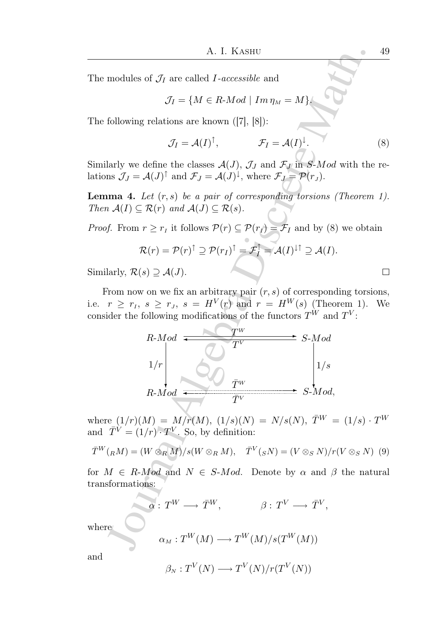The modules of  $\mathcal{J}_I$  are called *I*-accessible and

$$
\mathcal{J}_I = \{ M \in R \text{-}Mod \mid Im \, \eta_M = M \}.
$$

The following relations are known ([7], [8]):

$$
\mathcal{J}_I = \mathcal{A}(I)^{\uparrow}, \qquad \mathcal{F}_I = \mathcal{A}(I)^{\downarrow}. \qquad (8)
$$

Similarly we define the classes  $\mathcal{A}(J)$ ,  $\mathcal{J}_J$  and  $\mathcal{F}_J$  in S-Mod with the relations  $\mathcal{J}_J = \mathcal{A}(J)^{\uparrow}$  and  $\mathcal{F}_J = \mathcal{A}(J)^{\downarrow}$ , where  $\mathcal{F}_J = \mathcal{P}(r_J)$ .

**Lemma 4.** Let  $(r, s)$  be a pair of corresponding torsions (Theorem 1). Then  $A(I) \subseteq \mathcal{R}(r)$  and  $A(J) \subseteq \mathcal{R}(s)$ .

*Proof.* From  $r \geq r_I$  it follows  $P(r) \subseteq P(r_I) = \mathcal{F}_I$  and by (8) we obtain

$$
\mathcal{R}(r) = \mathcal{P}(r)^{\uparrow} \supseteq \mathcal{P}(r_I)^{\uparrow} = \mathcal{F}_I^{\uparrow} = \mathcal{A}(I)^{\downarrow \uparrow} \supseteq \mathcal{A}(I).
$$

Similarly,  $\mathcal{R}(s) \supseteq \mathcal{A}(J)$ .

From now on we fix an arbitrary pair  $(r, s)$  of corresponding torsions, i.e.  $r \geq r_I$ ,  $s \geq r_J$ ,  $s = H^V(r)$  and  $r = H^W(s)$  (Theorem 1). We consider the following modifications of the functors  $T^{\dot{W}}$  and  $T^V$ :

A. I. KASHU  
\nmodules of 
$$
\mathcal{J}_I
$$
 are called *I*-accessible and  
\n $\mathcal{J}_I = \{M \in R \cdot Mod \mid Im \eta_M = M\}$   
\nfollowing relations are known ([7], [8]):  
\n $\mathcal{J}_I = \mathcal{A}(I)^{\dagger}, \qquad \mathcal{F}_I = \mathcal{A}(I)^{\dagger}$ .  
\nlarly we define the classes  $\mathcal{A}(J)$ ,  $\mathcal{J}_J$  and  $\mathcal{F}_J$  in *S*-*Mod* with the  
\nns  $\mathcal{J}_J = \mathcal{A}(J)^{\dagger}$  and  $\mathcal{F}_J = \mathcal{A}(J)^{\dagger}$ , where  $\mathcal{F}_J = \mathcal{P}(r_J)$ .  
\n**una 4.** Let  $(r, s)$  be a pair of corresponding torsions (Theorem  
\n $\mathcal{A}(I) \subseteq \mathcal{R}(r)$  and  $\mathcal{A}(J) \subseteq \mathcal{R}(s)$ .  
\n $f$ . From  $r \geq r_I$  it follows  $\mathcal{P}(r) \subseteq \mathcal{P}(r_I) = \mathcal{F}_I$  and by (8) we obtain  
\n $\mathcal{R}(r) = \mathcal{P}(r)^{\dagger} \supseteq \mathcal{P}(r_I)^{\dagger} = \mathcal{F}_I^{\dagger} = \mathcal{A}(I)^{\dagger \dagger} \supseteq \mathcal{A}(I)$ .  
\nlarly,  $\mathcal{R}(s) \supseteq \mathcal{A}(J)$ .  
\nFrom now on we fix an arbitrary pair  $(r, s)$  of corresponding torsis  
\n $r \geq r_I$ ,  $s \geq r_J$ ,  $s = H^V(r)$  and  $r = H^W(s)$  (Theorem 1).  
\nident the following modifications of the functors  $T^W$  and  $T^V$ :  
\n $R \cdot Mod$   
\n $I/r$   
\n $R \cdot Mod$   
\n $\mathcal{I}^V$   
\n $R \cdot Mod$   
\n $\mathcal{I}^V$   
\n $R \cdot Mod$   
\n $\mathcal{I}^V$   
\n $R \cdot Mod$   
\n $\mathcal$ 

where  $(1/r)(M) = M/r(M)$ ,  $(1/s)(N) = N/s(N)$ ,  $\bar{T}^{W} = (1/s) \cdot T^{W}$ and  $\overline{T}^V = (1/r) \cdot T^V$ . So, by definition:

$$
\overline{T}^W(_RM) = (W \otimes_R M)/s(W \otimes_R M), \quad \overline{T}^V(_SN) = (V \otimes_S N)/r(V \otimes_S N)
$$
 (9)

for  $M \in R$ -*Mod* and  $N \in S$ -*Mod.* Denote by  $\alpha$  and  $\beta$  the natural transformations:

$$
\alpha: T^W \longrightarrow \bar{T}^W, \qquad \beta: T^V \longrightarrow \bar{T}^V,
$$
  

$$
\alpha_M: T^W(M) \longrightarrow T^W(M)/s(T^W(M))
$$

and

where

 $\beta_N: T^V(N) \longrightarrow T^V(N)/r(T^V(N))$ 

$$
\Box
$$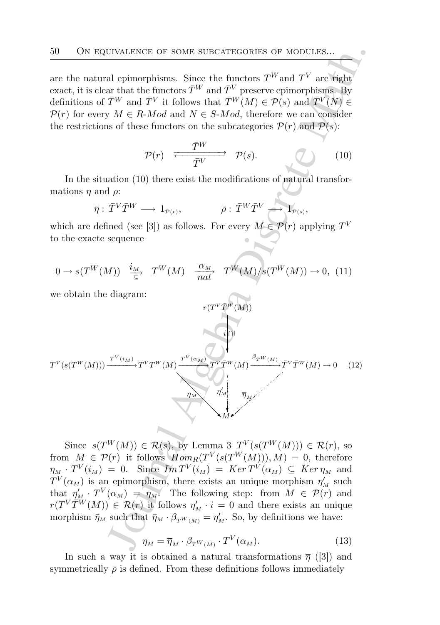are the natural epimorphisms. Since the functors  $T^{W}$  and  $T^{V}$  are right exact, it is clear that the functors  $\bar{T}^W$  and  $\bar{T}^V$  preserve epimorphisms. By definitions of  $\bar{T}^W$  and  $\bar{T}^V$  it follows that  $\bar{T}^W(M) \in \mathcal{P}(s)$  and  $\bar{T}^V(N) \in$  $\mathcal{P}(r)$  for every  $M \in R$ -*Mod* and  $N \in S$ -*Mod*, therefore we can consider the restrictions of these functors on the subcategories  $P(r)$  and  $P(s)$ :

$$
\mathcal{P}(r) \xrightarrow{\overline{T}^W} \mathcal{P}(s). \tag{10}
$$

In the situation (10) there exist the modifications of natural transformations  $\eta$  and  $\rho$ :

$$
\bar{\eta}:\,\bar{T}^V\bar{T}^W\longrightarrow\,1_{\mathcal{P}(r)},\qquad\qquad\bar{\rho}:\,\bar{T}^W\bar{T}^V\longrightarrow\,1_{\mathcal{P}(s)},
$$

which are defined (see [3]) as follows. For every  $M \in \mathcal{P}(r)$  applying  $T^V$ to the exacte sequence

$$
0 \to s(T^W(M)) \xrightarrow{\ i_M \atop \subseteq} T^W(M) \xrightarrow{\ \alpha_M \atop \text{nat}} T^W(M)/s(T^W(M)) \to 0, \tag{11}
$$

we obtain the diagram:

50 ON EQUIVALENE OF SOME SUBCATEGORIES OF MODULES...  
\nare the natural epimorphisms. Since the functors 
$$
T^W
$$
 and  $T^V$  are right  
\nexact, it is clear that the functors  $T^W$  and  $T^V$  preserves epimorphisms. By  
\ndefinitions of  $T^W$  and  $T^V$  it follows that  $T^W(M) \in \mathcal{P}(s)$  and  $T^V(N) \in$   
\n $\mathcal{P}(r)$  for every  $M \in R \cdot Mod$  and  $N \in S \cdot Mod$ , therefore we can consider  
\nthe restrictions of these functors on the subcategories  $\mathcal{P}(r)$  and  $\mathcal{P}(s)$ :  
\n
$$
\mathcal{P}(r) \xrightarrow{\overline{T}^W} \mathcal{P}(s).
$$
\n(10)  
\nIn the situation (10) there exist the modifications of natural transfor-  
\nmations  $\eta$  and  $\rho$ :  
\n $\bar{\eta}: \overline{T}^V \overline{T}^W \longrightarrow 1_{\mathcal{P}(r)}, \qquad \bar{\rho}: \overline{T}^W \overline{T}^V \longrightarrow 1_{\mathcal{P}(s)},$   
\nwhich are defined (see [3]) as follows. For every  $M \in \mathcal{P}(r)$  applying  $T^V$   
\nto the exact sequence  
\n $0 \rightarrow s(T^W(M)) \xrightarrow{i_M} T^W(M) \xrightarrow{\alpha_M} T^W(M)/s(T^W(M)) \rightarrow 0, (11)$   
\nwe obtain the diagram:  
\n
$$
r(T^V \overline{T}^W(M)) \xrightarrow{\overline{r}^V(M)})
$$
\n
$$
\mathcal{P}(T^W(M))
$$
\n
$$
\mathcal{P}(T^W(M)) \xrightarrow{\overline{r}^V(M)})
$$
\n
$$
\mathcal{P}(T^W(M)) \xrightarrow{\overline{r}^V(M)} \mathcal{P}(T^W(M)) \rightarrow 0, (12)
$$
\n
$$
\mathcal{P}(T^W(M)) \xrightarrow{\overline{r}^V(M)} \mathcal{P}(T^W(M)) \rightarrow 0, (12)
$$
\n
$$
\mathcal{P}(T^W(M)) \xrightarrow{\overline{r}^V(M)} \mathcal{P}(T^W(M)) \rightarrow \mathcal{P}(T^W(M)) \rightarrow \mathcal{P}(T^W(M
$$

Since  $s(T^W(M)) \in \mathcal{R}(s)$ , by Lemma 3  $T^V(s(T^W(M))) \in \mathcal{R}(r)$ , so from  $M \in \mathcal{P}(r)$  it follows  $Hom_R(T^V(s(T^W(M))), M) = 0$ , therefore  $\eta_M \cdot T^V(i_M) = 0.$  Since  $Im T^V(i_M) = Ker T^V(\alpha_M) \subseteq Ker \eta_M$  and  $T^{V}(\alpha_M)$  is an epimorphism, there exists an unique morphism  $\eta'_M$  such that  $\eta'_{M} \cdot T^{V}(\alpha_{M}) = \eta_{M}$ . The following step: from  $M \in \mathcal{P}(r)$  and  $r(T^V \widetilde{T}^W(M)) \in \mathcal{R}(r)$  it follows  $\eta'_M \cdot i = 0$  and there exists an unique morphism  $\bar{\eta}_M$  such that  $\bar{\eta}_M \cdot \beta_{\bar{T}} w_{(M)} = \eta'_M$ . So, by definitions we have:

$$
\eta_M = \overline{\eta}_M \cdot \beta_{\overline{T}} w_{(M)} \cdot T^V(\alpha_M). \tag{13}
$$

In such a way it is obtained a natural transformations  $\bar{\eta}$  ([3]) and symmetrically  $\bar{\rho}$  is defined. From these definitions follows immediately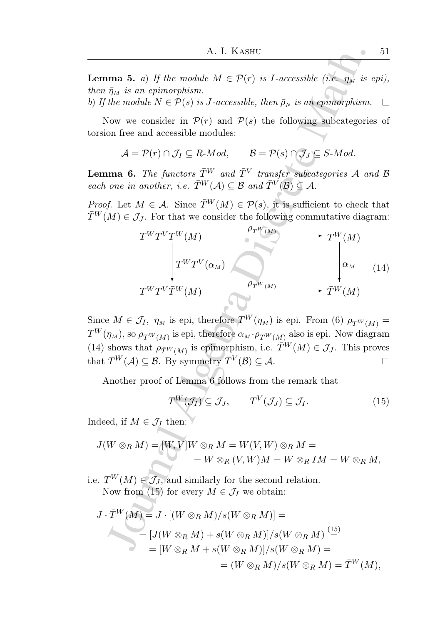**Lemma 5.** a) If the module  $M \in \mathcal{P}(r)$  is I-accessible (i.e.  $\eta_M$  is epi), then  $\bar{\eta}_M$  is an epimorphism.

b) If the module  $N \in \mathcal{P}(s)$  is J-accessible, then  $\bar{\rho}_N$  is an epimorphism.  $\Box$ 

Now we consider in  $\mathcal{P}(r)$  and  $\mathcal{P}(s)$  the following subcategories of torsion free and accessible modules:

$$
\mathcal{A} = \mathcal{P}(r) \cap \mathcal{J}_I \subseteq R\text{-}Mod, \qquad \mathcal{B} = \mathcal{P}(s) \cap \mathcal{J}_J \subseteq S\text{-}Mod.
$$

**Lemma 6.** The functors  $\overline{T}^{W}$  and  $\overline{T}^{V}$  transfer subcategories A and B each one in another, i.e.  $\overline{T}^W(\mathcal{A}) \subseteq \mathcal{B}$  and  $\overline{T}^V(\mathcal{B}) \subseteq \mathcal{A}$ .

*Proof.* Let  $M \in \mathcal{A}$ . Since  $\overline{T}^W(M) \in \mathcal{P}(s)$ , it is sufficient to check that  $\overline{T}^{W}(M) \in \mathcal{J}_{J}$ . For that we consider the following commutative diagram:

A. I. KASHU  
\n
$$
\begin{array}{ll}\n & A. I. KASHU & \text{51} \\
 & \bar{\eta}_M \text{ is an epimorphism.} \\
 & \bar{\eta}_M \text{ is an epimorphism.} \\
 & the module \ N \in \mathcal{P}(s) \text{ is } J \text{-accessible, then } \bar{\rho}_N \text{ is an epimorphism.} \quad \Box \\
 & \text{Now we consider in } \mathcal{P}(r) \text{ and } \mathcal{P}(s) \text{ the following subcategories of} \\
 & \text{On free and accessible modules:} \\
 & A = \mathcal{P}(r) \cap \mathcal{J}_I \subseteq R \text{-}Mod, \qquad B = \mathcal{P}(s) \cap \mathcal{J}_J \subseteq S \text{-}Mod. \\
 & \text{and } \mathbf{6}. \text{ The functors } \bar{T}^W \text{ and } \bar{T}^V \text{ transfer subcategories } A \text{ and } B \text{ one in another, } i.e. \bar{T}^W(A) \subseteq B \text{ and } \bar{T}^V(B) \subseteq A.\n \end{array}
$$
\n
$$
\begin{array}{ll}\n & f. \text{ Let } M \in \mathcal{A}. \text{ Since } \bar{T}^W(M) \in \mathcal{P}(s), \text{ it is sufficient to check that } \\
 M) \in \mathcal{J}_J. \text{ For that we consider the following commutative diagram:} \\
 & T^W T^V T^W(M) \longrightarrow \begin{array}{c} \rho_{T^W(M)} \\ \hline \end{array} \longrightarrow T^W(M) \\
 & \text{if } \gamma^W T^V \left(\alpha_M\right) \longrightarrow T^W(M) \\
 & \text{if } \gamma^W T^V \left(\alpha_M\right) \longrightarrow T^W(M) \\
 & \text{if } \gamma^W T^W(M) \longrightarrow \begin{array}{c} \rho_{T^W(M)} \\ \hline \end{array} \text{ is epi, therefore } T^W(\eta_M) \text{ is epi. From (6) } \rho_{T^W(M)} = \\
 & \text{if } \eta_M \text{ is the } \eta_M \text{ is the } \eta_M \text{ is the } \eta_M \text{ is the } \eta_M \text{ is the } \eta_M \text{ is the } \eta_M \text{ is the } \eta_M \text{ is the } \eta_M \text{ is the } \eta_M \text{ is the } \eta_M \text{ is the } \eta_M \text{ is the } \eta_M \text{ is the } \eta_M \text{ is the } \eta_M \text{ is the } \eta_M \text{ is the } \eta_M \text
$$

Since  $M \in \mathcal{J}_I$ ,  $\eta_M$  is epi, therefore  $T^W(\eta_M)$  is epi. From (6)  $\rho_{T^W(M)} =$  $T^{W}(\eta_M)$ , so  $\rho_{T^{W}(M)}$  is epi, therefore  $\alpha_M \cdot \rho_{T^{W}(M)}$  also is epi. Now diagram (14) shows that  $\rho_{\overline{T}^W(M)}$  is epimorphism, i.e.  $\overline{T}^W(M) \in \mathcal{J}_J$ . This proves that  $\bar{T}^W(\mathcal{A}) \subseteq \mathcal{B}$ . By symmetry  $\bar{T}^V(\mathcal{B}) \subseteq \mathcal{A}$ . П

Another proof of Lemma 6 follows from the remark that

$$
T^{W}(\mathcal{J}_{I}) \subseteq \mathcal{J}_{J}, \qquad T^{V}(\mathcal{J}_{J}) \subseteq \mathcal{J}_{I}. \tag{15}
$$

Indeed, if  $M\in\mathcal{J}_I$  then:  $\check{\phantom{I}}$ 

$$
J(W \otimes_R M) = [W, V]W \otimes_R M = W(V, W) \otimes_R M =
$$
  
=  $W \otimes_R (V, W)M = W \otimes_R IM = W \otimes_R M,$ 

i.e.  $T^W(M) \in \mathcal{J}_J$ , and similarly for the second relation. Now from (15) for every  $M \in \mathcal{J}_I$  we obtain:

$$
J \cdot \overline{T}^W(M) = J \cdot [(W \otimes_R M)/s(W \otimes_R M)] =
$$
  
= 
$$
[J(W \otimes_R M) + s(W \otimes_R M)]/s(W \otimes_R M) \stackrel{(15)}{=} \\
= [W \otimes_R M + s(W \otimes_R M)]/s(W \otimes_R M) =
$$
  
= 
$$
(W \otimes_R M)/s(W \otimes_R M) = \overline{T}^W(M),
$$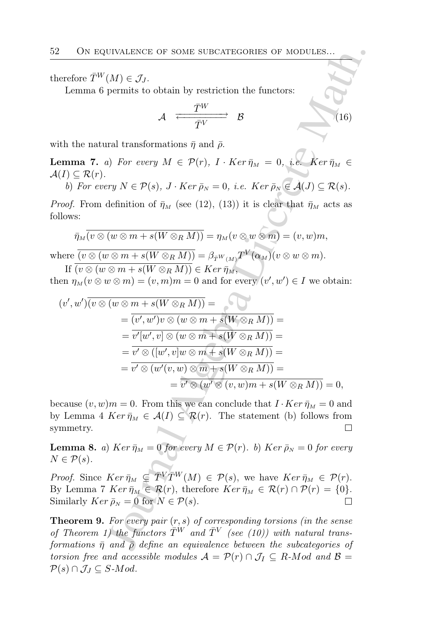therefore  $\bar{T}^W(M) \in \mathcal{J}_I$ .

Lemma 6 permits to obtain by restriction the functors:

$$
\mathcal{A} \xrightarrow{\overline{T}^W} \mathcal{B} \tag{16}
$$

with the natural transformations  $\bar{\eta}$  and  $\bar{\rho}$ .

**Lemma 7.** a) For every  $M \in \mathcal{P}(r)$ ,  $I \cdot Ker \bar{\eta}_M = 0$ , i.e.  $Ker \bar{\eta}_M \in$  $\mathcal{A}(I) \subseteq \mathcal{R}(r)$ .

b) For every  $N \in \mathcal{P}(s)$ ,  $J \cdot Ker \bar{\rho}_N = 0$ , i.e.  $Ker \bar{\rho}_N \in \mathcal{A}(J) \subseteq \mathcal{R}(s)$ .

*Proof.* From definition of  $\bar{\eta}_M$  (see (12), (13)) it is clear that  $\bar{\eta}_M$  acts as follows:

$$
\overline{\eta}_M(\overline{v\otimes(w\otimes m+s(W\otimes_R M))}=\eta_M(\overline{v\otimes w\otimes m})=(v,w)m,
$$

where  $\overline{(v \otimes (w \otimes m + s(W \otimes_R M))} = \beta_{\overline{T}^W(M)} T^V(\alpha_M)(v \otimes w \otimes m).$ If  $\overline{(v \otimes (w \otimes m + s(W \otimes_R M))} \in Ker \overline{\eta}_M$ ,

then  $\eta_M(v \otimes w \otimes m) = (v, m)m = 0$  and for every  $(v', w') \in I$  we obtain:

2 ON EQUIVALEICE OF SOME SUBCATEGORIES OF MODULES...  
\nTherefore 
$$
\overline{T}^{W}(M) \in \mathcal{J}_{J}
$$
.  
\nLemma 6 permits to obtain by restriction the functors:  
\n $\overline{T}^{W}$   
\n $A \xrightarrow{\overline{T}^{W}} B$   
\n $A \xrightarrow{\overline{T}^{W}} B$   
\n $(16)$   
\nwith the natural transformations  $\overline{\eta}$  and  $\overline{\rho}$ .  
\n $(1) \subseteq \mathcal{R}(r)$ .  
\n $b) For every N \in \mathcal{P}(s), J \cdot Ker \overline{\rho}_{N} = 0, i.e. Ker \overline{\rho}_{N} \in \mathcal{A}(J) \subseteq \mathcal{R}(s)$ .  
\n*not*, From definition of  $\overline{\eta}_{M}$  (see (12), (13)) it is clear that  $\overline{\eta}_{M}$  acts as  
\nallows:  
\n $\overline{\eta}_{M}(\overline{v} \otimes (w \otimes m + s(W \otimes_R M)) = \eta_{M}(v \otimes w \otimes m) = (v, w)m$ ,  
\nhere  $\overline{(v \otimes (w \otimes m + s(W \otimes_R M))} = \beta_{T^{W}(M)}T^{V}(\alpha_M)(v \otimes w \otimes m)$ .  
\nIf  $\overline{(v \otimes (w \otimes m + s(W \otimes_R M)))} \in Ker \overline{\eta}_{M}$ ,  
\nthen  $\eta_{M}(v \otimes w \otimes m) = (v, m)m = 0$  and for every  $(v', w') \in I$  we obtain:  
\n $(v', w')\overline{(v \otimes (w \otimes m + s(W \otimes_R M)))} = \beta_{T^{W}(M)}T^{W}(\alpha_M)(v \otimes w \otimes m)$ .  
\nIf  $\overline{(v \otimes (w \otimes m + s(W \otimes_R M)))} \in Ker \overline{\eta}_{M}$ ,  
\n $(v', w')\overline{(v \otimes (w \otimes m + s(W \otimes_R M)))} = \overline{v' \otimes (w' \otimes m + s(W \otimes_R M))} = \overline{v' \otimes (w'(v, w) \otimes m + s(W \otimes_R M))} = \overline{v' \otimes (w'(v, w) \otimes m + s(W \otimes_R M))} = \$ 

because  $(v, w)m = 0$ . From this we can conclude that  $I \cdot Ker \bar{\eta}_M = 0$  and by Lemma 4  $Ker \bar{\eta}_M \in \mathcal{A}(I) \subseteq \mathcal{R}(r)$ . The statement (b) follows from symmetry.

**Lemma 8.** a) Ker  $\bar{\eta}_M = 0$  for every  $M \in \mathcal{P}(r)$ . b) Ker  $\bar{\rho}_N = 0$  for every  $N \in \mathcal{P}(s)$ .

*Proof.* Since  $Ker \overline{\eta}_M \subseteq \overline{T}^V \overline{T}^W(M) \in \mathcal{P}(s)$ , we have  $Ker \overline{\eta}_M \in \mathcal{P}(r)$ . By Lemma 7  $Ker \bar{\eta}_M \in \mathcal{R}(r)$ , therefore  $Ker \bar{\eta}_M \in \mathcal{R}(r) \cap \mathcal{P}(r) = \{0\}.$ Similarly  $Ker \bar{p}_N = 0$  for  $N \in \mathcal{P}(s)$ .

**Theorem 9.** For every pair  $(r, s)$  of corresponding torsions (in the sense of Theorem 1) the functors  $\overline{T}^{W}$  and  $\overline{T}^{V}$  (see (10)) with natural transformations  $\bar{\eta}$  and  $\bar{\rho}$  define an equivalence between the subcategories of torsion free and accessible modules  $\mathcal{A} = \mathcal{P}(r) \cap \mathcal{J}_I \subseteq R$ -Mod and  $\mathcal{B} =$  $\mathcal{P}(s) \cap \mathcal{J}_J \subseteq S$ -Mod.